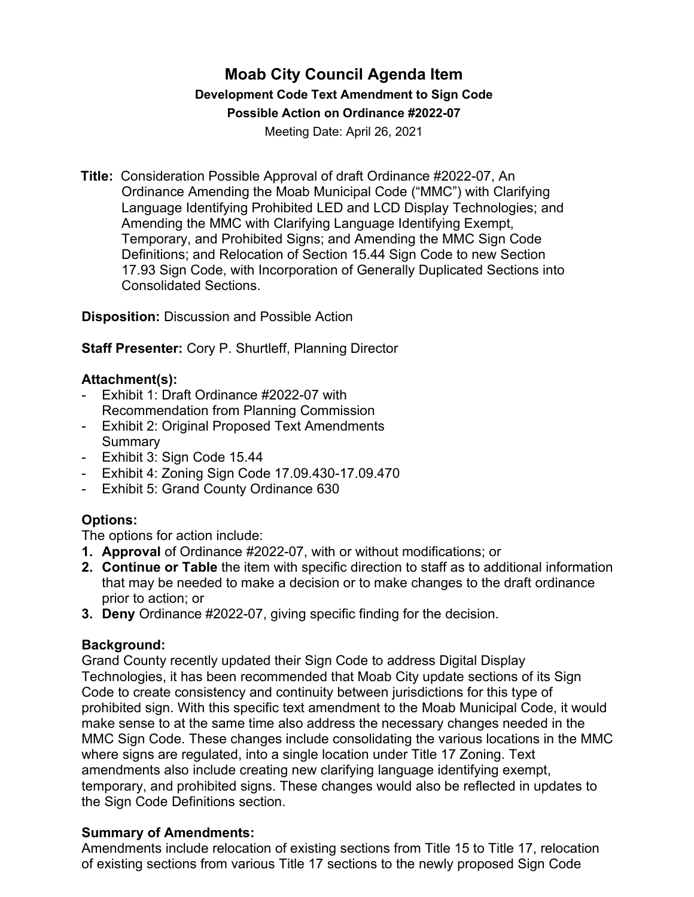# **Moab City Council Agenda Item Development Code Text Amendment to Sign Code Possible Action on Ordinance #2022-07**

Meeting Date: April 26, 2021

**Title:** Consideration Possible Approval of draft Ordinance #2022-07, An Ordinance Amending the Moab Municipal Code ("MMC") with Clarifying Language Identifying Prohibited LED and LCD Display Technologies; and Amending the MMC with Clarifying Language Identifying Exempt, Temporary, and Prohibited Signs; and Amending the MMC Sign Code Definitions; and Relocation of Section 15.44 Sign Code to new Section 17.93 Sign Code, with Incorporation of Generally Duplicated Sections into Consolidated Sections.

**Disposition:** Discussion and Possible Action

**Staff Presenter:** Cory P. Shurtleff, Planning Director

### **Attachment(s):**

- Exhibit 1: Draft Ordinance #2022-07 with Recommendation from Planning Commission
- Exhibit 2: Original Proposed Text Amendments Summary
- Exhibit 3: Sign Code 15.44
- Exhibit 4: Zoning Sign Code 17.09.430-17.09.470
- Exhibit 5: Grand County Ordinance 630

## **Options:**

The options for action include:

- **1. Approval** of Ordinance #2022-07, with or without modifications; or
- **2. Continue or Table** the item with specific direction to staff as to additional information that may be needed to make a decision or to make changes to the draft ordinance prior to action; or
- **3. Deny** Ordinance #2022-07, giving specific finding for the decision.

## **Background:**

Grand County recently updated their Sign Code to address Digital Display Technologies, it has been recommended that Moab City update sections of its Sign Code to create consistency and continuity between jurisdictions for this type of prohibited sign. With this specific text amendment to the Moab Municipal Code, it would make sense to at the same time also address the necessary changes needed in the MMC Sign Code. These changes include consolidating the various locations in the MMC where signs are regulated, into a single location under Title 17 Zoning. Text amendments also include creating new clarifying language identifying exempt, temporary, and prohibited signs. These changes would also be reflected in updates to the Sign Code Definitions section.

#### **Summary of Amendments:**

Amendments include relocation of existing sections from Title 15 to Title 17, relocation of existing sections from various Title 17 sections to the newly proposed Sign Code